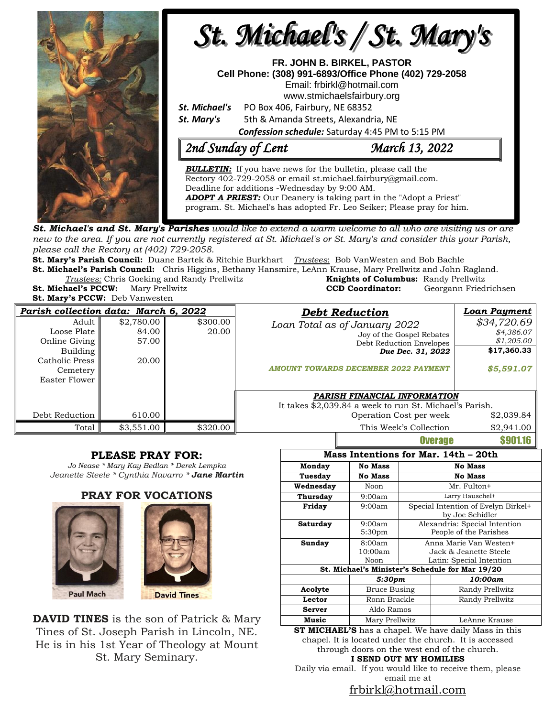

new to the area. If you are not currently registered at St. Michael's or St. Mary's and consider this your Parish, *please call the Rectory at (402) 729-2058.* 

**St. Mary's Parish Council:** Duane Bartek & Ritchie Burkhart *Trustees*: Bob VanWesten and Bob Bachle **St. Michael's Parish Council:** Chris Higgins, Bethany Hansmire, LeAnn Krause, Mary Prellwitz and John Ragland.

**Trustees:** Chris Goeking and Randy Prellwitz **St. Michael's PCCW:** Mary Prellwitz **CCD Coordinator:** Georgann Friedrichsen

**St. Mary's PCCW:** Deb Vanwesten

| <b>Knights of Columbus:</b> Randy Prellwitz |                       |
|---------------------------------------------|-----------------------|
| <b>CCD Coordinator:</b>                     | Georgann Friedrichser |
|                                             |                       |

| Parish collection data: March 6, 2022                                                            |                                       |                   | <b>Debt Reduction</b>                                                                                                                                      | Loan Payment                                                         |
|--------------------------------------------------------------------------------------------------|---------------------------------------|-------------------|------------------------------------------------------------------------------------------------------------------------------------------------------------|----------------------------------------------------------------------|
| Adult<br>Loose Plate<br>Online Giving<br>Building<br>Catholic Press<br>Cemetery<br>Easter Flower | \$2,780.00<br>84.00<br>57.00<br>20.00 | \$300.00<br>20.00 | Loan Total as of January 2022<br>Joy of the Gospel Rebates<br>Debt Reduction Envelopes<br>Due Dec. 31, 2022<br><b>AMOUNT TOWARDS DECEMBER 2022 PAYMENT</b> | \$34,720.69<br>\$4,386.07<br>\$1,205.00<br>\$17,360.33<br>\$5,591.07 |
|                                                                                                  |                                       |                   | PARISH FINANCIAL INFORMATION<br>It takes \$2,039.84 a week to run St. Michael's Parish.                                                                    |                                                                      |
| Debt Reduction                                                                                   | 610.00                                |                   | Operation Cost per week                                                                                                                                    | \$2,039.84                                                           |
| Total                                                                                            | \$3,551.00                            | \$320.00          | This Week's Collection                                                                                                                                     | \$2,941.00                                                           |
|                                                                                                  |                                       |                   | <b>BUAKARA</b>                                                                                                                                             | <b>COO1 10</b>                                                       |

## **PLEASE PRAY FOR:**

*Jo Nease \* Mary Kay Bedlan \* Derek Lempka Jeanette Steele \* Cynthia Navarro \* Jane Martin*

#### **PRAY FOR VOCATIONS**





**DAVID TINES** is the son of Patrick & Mary Tines of St. Joseph Parish in Lincoln, NE. He is in his 1st Year of Theology at Mount St. Mary Seminary.

|                                      |                                                 |                                                                              | vvərayə       |                 |  |  |  |  |
|--------------------------------------|-------------------------------------------------|------------------------------------------------------------------------------|---------------|-----------------|--|--|--|--|
| Mass Intentions for Mar. 14th - 20th |                                                 |                                                                              |               |                 |  |  |  |  |
| Monday                               | <b>No Mass</b>                                  | <b>No Mass</b>                                                               |               |                 |  |  |  |  |
| Tuesday                              | <b>No Mass</b>                                  | <b>No Mass</b>                                                               |               |                 |  |  |  |  |
| Wednesday                            | Noon                                            | Mr. Fulton+                                                                  |               |                 |  |  |  |  |
| Thursday                             | 9:00am                                          | Larry Hauschel+                                                              |               |                 |  |  |  |  |
| Friday                               | 9:00am                                          | Special Intention of Evelyn Birkel+<br>by Joe Schidler                       |               |                 |  |  |  |  |
| Saturday                             | 9:00am<br>5:30 <sub>pm</sub>                    | Alexandria: Special Intention<br>People of the Parishes                      |               |                 |  |  |  |  |
| Sunday                               | 8:00am<br>10:00am<br>Noon                       | Anna Marie Van Westen+<br>Jack & Jeanette Steele<br>Latin: Special Intention |               |                 |  |  |  |  |
|                                      | St. Michael's Minister's Schedule for Mar 19/20 |                                                                              |               |                 |  |  |  |  |
|                                      |                                                 | 5:30pm                                                                       |               | 10:00am         |  |  |  |  |
| Acolyte                              |                                                 | Bruce Busing                                                                 |               | Randy Prellwitz |  |  |  |  |
| Lector                               |                                                 | Ronn Brackle                                                                 |               | Randy Prellwitz |  |  |  |  |
| <b>Server</b>                        |                                                 | Aldo Ramos                                                                   |               |                 |  |  |  |  |
| Music                                | Mary Prellwitz                                  |                                                                              | LeAnne Krause |                 |  |  |  |  |

**ST MICHAEL'S** has a chapel. We have daily Mass in this chapel. It is located under the church. It is accessed through doors on the west end of the church. **I SEND OUT MY HOMILIES**

Daily via email. If you would like to receive them, please email me at

## [frbirkl@hotmail.com](mailto:frbirkl@hotmail.com)